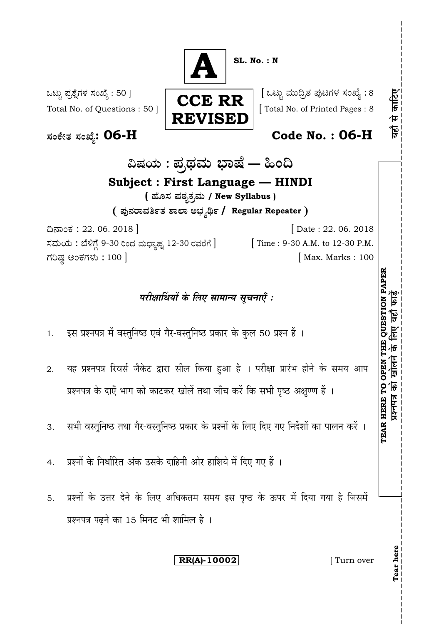**SL. No. : N** : 50 ] [ 8 Total No. of Questions : 50 ]  $\begin{array}{|c|c|c|c|c|c|c|c|c|}\n\hline\n\hline\n\textbf{Total No. of Printed Pages : 8}\n\end{array}$ **: 06-H Code No. : 06-H** ವಿಷಯ : ಪ್ರಥಮ ಭಾಷೆ — ಹಿಂದಿ **Subject : First Language — HINDI ( / New Syllabus )**  $($  ಪುನರಾವರ್ತಿತ ಶಾಲಾ ಅಭ್ಯರ್ಥಿ / Regular Repeater ) 22. 06. 2018 ] [ Date : 22. 06. 2018 ಸಮಯ : ಬೆಳಿಗ್ಗೆ 9-30 ರಿಂದ ಮಧ್ಯಾಹ್ನ 12-30 ರವರೆಗೆ ] [Time : 9-30 A.M. to 12-30 P.M. ಗರಿಷ್ಠ ಅಂಕಗಳು : 100 ] **CCE RR REVISED A**

# परीक्षार्थियों के लिए सामान्य सचनाएँ :

- 1. इस प्रश्नपत्र में वस्तुनिष्ठ एवं गैर-वस्तुनिष्ठ प्रकार के कुल 50 प्रश्न हैं ।
- यह प्रश्नपत्र रिवर्स जैकेट द्वारा सील किया हुआ है । परीक्षा प्रारंभ होने के समय आप 2. प्रश्नपत्र के दाएँ भाग को काटकर खोलें तथा जाँच करें कि सभी पृष्ठ अक्षुण्ण हैं ।
- सभी वस्तुनिष्ठ तथा गैर-वस्तुनिष्ठ प्रकार के प्रश्नों के लिए दिए गए निर्देशों का पालन करें । 3.
- प्रश्नों के निर्धारित अंक उसके दाहिनी ओर हाशिये में दिए गए हैं । 4.
- प्रश्नों के उत्तर देने के लिए अधिकतम समय इस पृष्ठ के ऊपर में दिया गया है जिसमें 5. प्रश्नपत्र पढने का 15 मिनट भी शामिल है ।

# **RR(A)-10002** [ Turn over

**Tear here**

**TEAR HERE TO OPEN THE QUESTION PAPER**

TEAR HERE TO OPEN THE QUESTION PAPER<br>प्रश्नापत्र को खोलने के लिए यहाँ फाईं

यहाँ से काटिए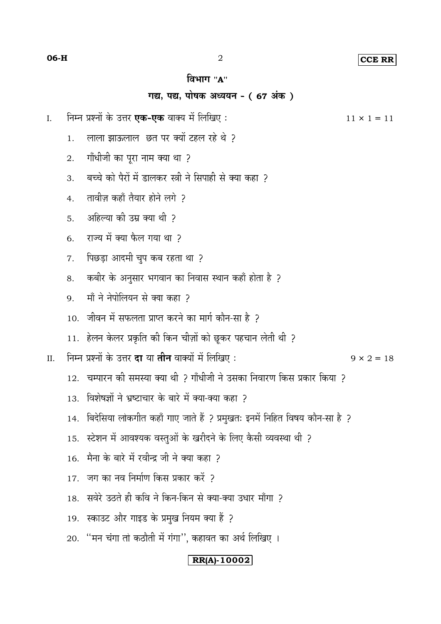#### **CCE RR**

#### विभाग "А"

## गद्य, पद्य, पोषक अध्ययन - (67 अंक)

 $\overline{2}$ 

- निम्न प्रश्नों के उत्तर **एक-एक** वाक्य में लिखिए :  $\overline{I}$ .
	- लाला झाऊलाल छत पर क्यों टहल रहे थे ?  $\mathbf{1}$
	- गाँधीजी का पूरा नाम क्या था ? 2.
	- बच्चे को पैरों में डालकर स्त्री ने सिपाही से क्या कहा ?  $\overline{3}$
	- तावीज़ कहाँ तैयार होने लगे २  $\overline{4}$
	- अहिल्या की उम्र क्या थी ?  $5<sub>1</sub>$
	- राज्य में क्या फैल गया था ?  $6<sub>1</sub>$
	- पिछड़ा आदमी चुप कब रहता था ?  $\overline{7}$
	- कबीर के अनुसार भगवान का निवास स्थान कहाँ होता है ? 8.
	- माँ ने नेपोलियन से क्या कहा 2  $\mathbf{Q}$
	- 10. जीवन में सफलता प्राप्त करने का मार्ग कौन-सा है 2
	- 11. हेलन केलर प्रकृति की किन चीज़ों को छूकर पहचान लेती थी ?
- निम्न प्रश्नों के उत्तर **दा** या **तीन** वाक्यों में लिखिए :  $\Pi$ .
	- 12. चम्पारन की समस्या क्या थी ? गाँधीजी ने उसका निवारण किस प्रकार किया ?
	- 13. विशेषज्ञों ने भ्रष्टाचार के बारे में क्या-क्या कहा 2
	- 14. बिदेसिया लोकगीत कहाँ गाए जाते हैं ? प्रमुखतः इनमें निहित विषय कौन-सा है ?
	-
	- 15. स्टेशन में आवश्यक वस्तुओं के खरीदने के लिए कैसी व्यवस्था थी ?
	- 16. मैना के बारे में रवीन्द्र जी ने क्या कहा 2
	- 17. जग का नव निर्माण किस प्रकार करें ?
	- 18. सवेरे उठते ही कवि ने किन-किन से क्या-क्या उधार माँगा ?
	- 19. स्काउट और गाइड के प्रमुख नियम क्या हैं ?
	- 20. "मन चंगा तो कठौती में गंगा", कहावत का अर्थ लिखिए ।

### $\vert$  RR(A)-10002 $\vert$

 $11 \times 1 = 11$ 

 $9 \times 2 = 18$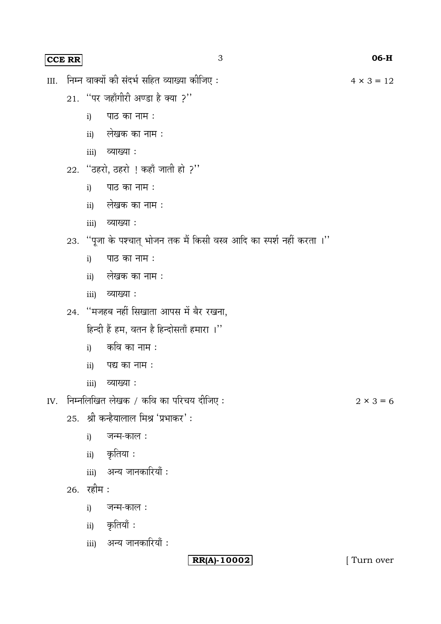## **CCE RR** 3 **06-H**

- III. निम्न वाक्यों की संदर्भ सहित व्याख्या कीजिए :  $4 \times 3 = 12$ 
	- $21.$  "पर जहाँगीरी अण्डा है क्या ?"
		- $i)$  पाठ का नाम :
		- ii) लेखक का नाम :
		- iii) व्याख्या :
	- 22. "ठहरो, ठहरो ! कहाँ जाती हो ?"
		- पाठ का नाम : i)
		- ii) लेखक का नाम :
		- iii) व्याख्या:
	- 23. "पूजा के पश्चात् भोजन तक मैं किसी वस्त्र आदि का स्पर्श नहीं करता ।"
		- i) पाठ का नाम :
		- लेखक का नाम : ii)
		- iii) व्याख्या :
	- 24. "मजहब नहीं सिखाता आपस में बैर रखना,

हिन्दी हैं हम, वतन है हिन्दोसताँ हमारा ।''

- कवि का नाम : i)
- $ii)$  पद्य का नाम :
- iii) व्याख्या :

IV. निम्नलिखित लेखक / कवि का परिचय दीजिए :  $2 \times 3 = 6$ 

- 25. श्री कन्हैयालाल मिश्र 'प्रभाकर':
	- जन्म-काल: i)
	- ii) कृतिया**:**
	- iii) अन्य जानकारियाँ:
- $26.$  रहीम $:$ 
	- i) जन्म-काल**:**
	- ii) कृतियाँ :
	- iii) अन्य जानकारियाँ:

**RR(A)-10002** [ Turn over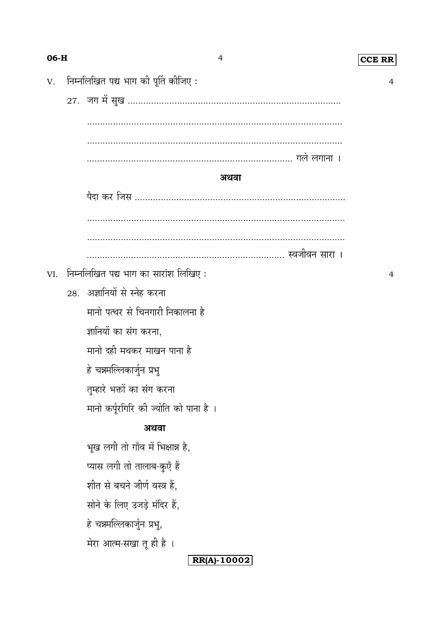| 06-H |                                      | $\overline{4}$                         | CCE RR         |  |  |  |
|------|--------------------------------------|----------------------------------------|----------------|--|--|--|
| V.   | निम्नलिखित पद्य भाग की पूर्ति कीजिए: | 4                                      |                |  |  |  |
|      |                                      |                                        |                |  |  |  |
|      |                                      |                                        |                |  |  |  |
|      |                                      |                                        |                |  |  |  |
|      |                                      |                                        |                |  |  |  |
|      | अथवा                                 |                                        |                |  |  |  |
|      |                                      |                                        |                |  |  |  |
|      |                                      |                                        |                |  |  |  |
|      |                                      |                                        |                |  |  |  |
|      |                                      |                                        |                |  |  |  |
| VI.  |                                      | निम्नलिखित पद्य भाग का सारांश लिखिए:   | $\overline{4}$ |  |  |  |
|      |                                      | 28. अज्ञानियों से स्नेह करना           |                |  |  |  |
|      |                                      | मानो पत्थर से चिनगारी निकालना है       |                |  |  |  |
|      |                                      | ज्ञानियों का संग करना,                 |                |  |  |  |
|      |                                      | मानो दही मथकर माखन पाना है             |                |  |  |  |
|      |                                      | हे चन्नमल्लिकार्जुन प्रभु              |                |  |  |  |
|      |                                      | तुम्हारे भक्तों का संग करना            |                |  |  |  |
|      |                                      | मानो कर्पूरगिरि की ज्योति को पाना है । |                |  |  |  |
|      | अथवा                                 |                                        |                |  |  |  |
|      |                                      | भूख लगी तो गाँव में भिक्षान्न है,      |                |  |  |  |
|      |                                      | प्यास लगी तो तालाब-कुएँ हैं            |                |  |  |  |
|      |                                      | शीत से बचने जीर्ण वस्त्र हैं,          |                |  |  |  |
|      |                                      | सोने के लिए उजड़े मंदिर हैं,           |                |  |  |  |
|      |                                      | हे चन्नमल्लिकार्जुन प्रभु,             |                |  |  |  |
|      |                                      | मेरा आत्म-सखा तू ही है ।               |                |  |  |  |
|      |                                      | RR(A)-10002                            |                |  |  |  |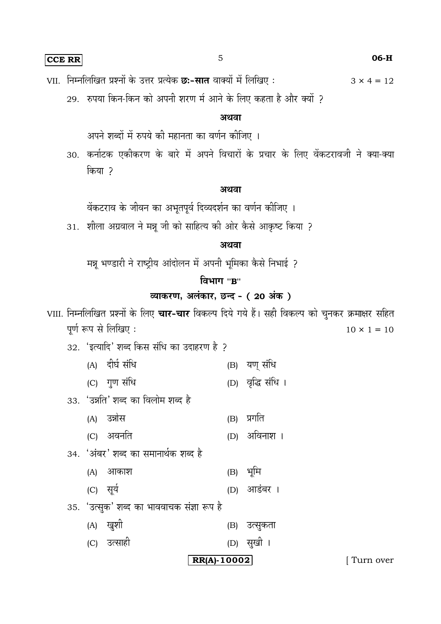**CCE RR** 5 **06-H**

VII. निम्नलिखित प्रश्नों के उत्तर प्रत्येक **छः-सात** वाक्यों में लिखिए :  $3 \times 4 = 12$ 

29. रुपया किन-किन को अपनी शरण में आने के लिए कहता है और क्यों ?

## अथवा

अपने शब्दों में रुपये की महानता का वर्णन कीजिए ।

30. कर्नाटक एकीकरण के बारे में अपने विचारों के प्रचार के लिए वेंकटरावजी ने क्या-क्या किया ?

#### अथवा

वेंकटराव के जीवन का अभूतपूर्व दिव्यदर्शन का वर्णन कीजिए ।

31. शीला अग्रवाल ने मन्नू जी को साहित्य की ओर कैसे आकृष्ट किया ?

#### अथवा

मन्नू भण्डारी ने राष्ट्रीय आंदोलन में अपनी भूमिका कैसे निभाई ?

## **''B''**

## <u>व्याकरण, अलंकार, छन्द - (20 अंक)</u>

VIII. निम्नलिखित प्रश्नों के लिए **चार-चार** विकल्प दिये गये हैं। सही विकल्प को चुनकर क्रमाक्षर सहित पूर्ण रूप से लिखिए:  $10 \times 1 = 10$ 

32. 'इत्यादि' शब्द किस संधि का उदाहरण है ?

- (A) दीर्घ संधि (B) यण संधि
- (C) गुण संधि (D) वृद्धि संधि ।
- 33. 'उन्नति' शब्द का विलोम शब्द है
	- (A) उन्नोस (B) प्रगति
	- (C) (D)
- 34. 'अंबर' शब्द का समानार्थक शब्द है
	- (A) आकाश (B) भूमि
	- (C) सूर्य (D) आडंबर ।
- 35. 'उत्सुक' शब्द का भाववाचक संज्ञा रूप है
	- (A) खुशी (B) उत्सुकता
	- (C) उत्साही (D) सुखी ।

**RR(A)-10002** [ Turn over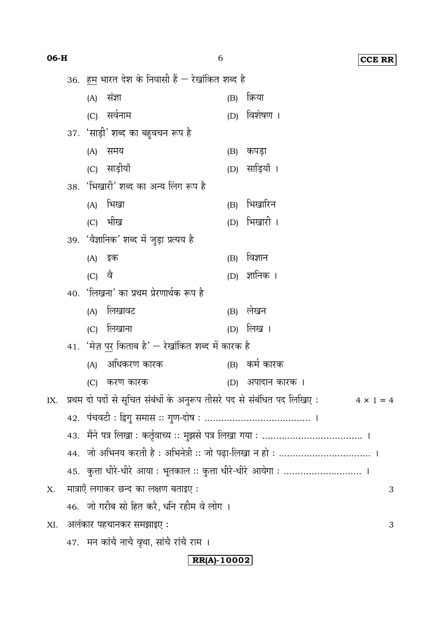| $06-H$          |                                                                                             |     |                                             | 6   | <b>CCE RR</b>     |  |  |  |
|-----------------|---------------------------------------------------------------------------------------------|-----|---------------------------------------------|-----|-------------------|--|--|--|
|                 | 36. हम भारत देश के निवासी हैं — रेखांकित शब्द है                                            |     |                                             |     |                   |  |  |  |
|                 |                                                                                             | (A) | संज्ञा                                      | (B) | क्रिया            |  |  |  |
|                 |                                                                                             | (C) | सर्वनाम                                     | (D) | विशेषण ।          |  |  |  |
|                 | 37. 'साड़ी' शब्द का बहुवचन रूप है                                                           |     |                                             |     |                   |  |  |  |
|                 |                                                                                             | (A) | समय                                         | (B) | कपड़ा             |  |  |  |
|                 |                                                                                             |     | (C) साड़ीयाँ                                |     | (D) साड़ियाँ ।    |  |  |  |
|                 |                                                                                             |     | 38. 'भिखारी' शब्द का अन्य लिंग रूप है       |     |                   |  |  |  |
|                 |                                                                                             | (A) | भिखा                                        | (B) | भिखारिन           |  |  |  |
|                 |                                                                                             |     | (C) भीख                                     |     | (D) भिखारी ।      |  |  |  |
|                 |                                                                                             |     | 39. 'वैज्ञानिक' शब्द में जुड़ा प्रत्यय है   |     |                   |  |  |  |
|                 |                                                                                             | (A) | इक                                          | (B) | विज्ञान           |  |  |  |
|                 |                                                                                             | (C) | वै                                          |     | (D) ज्ञानिक ।     |  |  |  |
|                 |                                                                                             |     | 40. 'लिखना' का प्रथम प्रेरणार्थक रूप है     |     |                   |  |  |  |
|                 |                                                                                             | (A) | लिखावट                                      | (B) | लेखन              |  |  |  |
|                 |                                                                                             | (C) | लिखाना                                      | (D) | लिख ।             |  |  |  |
|                 | 41. 'मेज़ पर किताब है' — रेखांकित शब्द में कारक है                                          |     |                                             |     |                   |  |  |  |
|                 |                                                                                             | (A) | अधिकरण कारक                                 | (B) | कमे कारक          |  |  |  |
|                 |                                                                                             |     | (C) करण कारक                                |     | (D) अपादान कारक । |  |  |  |
| IX.             | प्रथम दो पदों से सूचित संबंधों के अनुरूप तीसरे पद से संबंधित पद लिखिए :<br>$4 \times 1 = 4$ |     |                                             |     |                   |  |  |  |
|                 |                                                                                             |     |                                             |     |                   |  |  |  |
|                 |                                                                                             |     |                                             |     |                   |  |  |  |
|                 | 44. जो अभिनय करती है : अभिनेत्री :: जो पढ़ा-लिखा न हो :  ।                                  |     |                                             |     |                   |  |  |  |
|                 | 45.   कुत्ता धीरे-धीरे आया : भूतकाल :: कुत्ता धीरे-धीरे आयेगा :  ।                          |     |                                             |     |                   |  |  |  |
| X.              |                                                                                             |     | मात्राएँ लगाकर छन्द का लक्षण बताइए :        |     | 3                 |  |  |  |
|                 |                                                                                             |     | 46.   जो गरीब सो हित करै, धनि रहीम वे लोग । |     |                   |  |  |  |
| XI.             |                                                                                             |     | अलंकार पहचानकर समझाइए :                     |     | 3                 |  |  |  |
|                 |                                                                                             |     | 47. मन कांचै नाचै वृथा, सांचै रांचै राम ।   |     |                   |  |  |  |
| $RR(A) - 10002$ |                                                                                             |     |                                             |     |                   |  |  |  |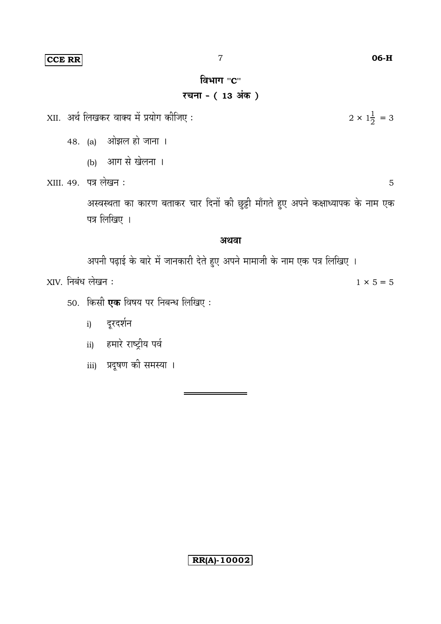## **CCE RR**

## विभाग "C"

# रचना - (13 अंक)

XII. अर्थ लिखकर वाक्य में प्रयोग कीजिए:

- 48. (a) ओझल हो जाना ।
	- (b) आग से खेलना ।
- XIII. 49. पत्र लेखन:

अस्वस्थता का कारण बताकर चार दिनों की छुट्टी माँगते हुए अपने कक्षाध्यापक के नाम एक पत्र लिखिए ।

#### अथवा

अपनी पढ़ाई के बारे में जानकारी देते हुए अपने मामाजी के नाम एक पत्र लिखिए ।

XIV. निबंध लेखन:

- 50. किसी एक विषय पर निबन्ध लिखिए:
	- i) दूरदर्शन
	- ii) हमारे राष्ट्रीय पर्व
	- iii) प्रदूषण की समस्या ।

 $2 \times 1\frac{1}{2} = 3$ 

5

 $1 × 5 = 5$